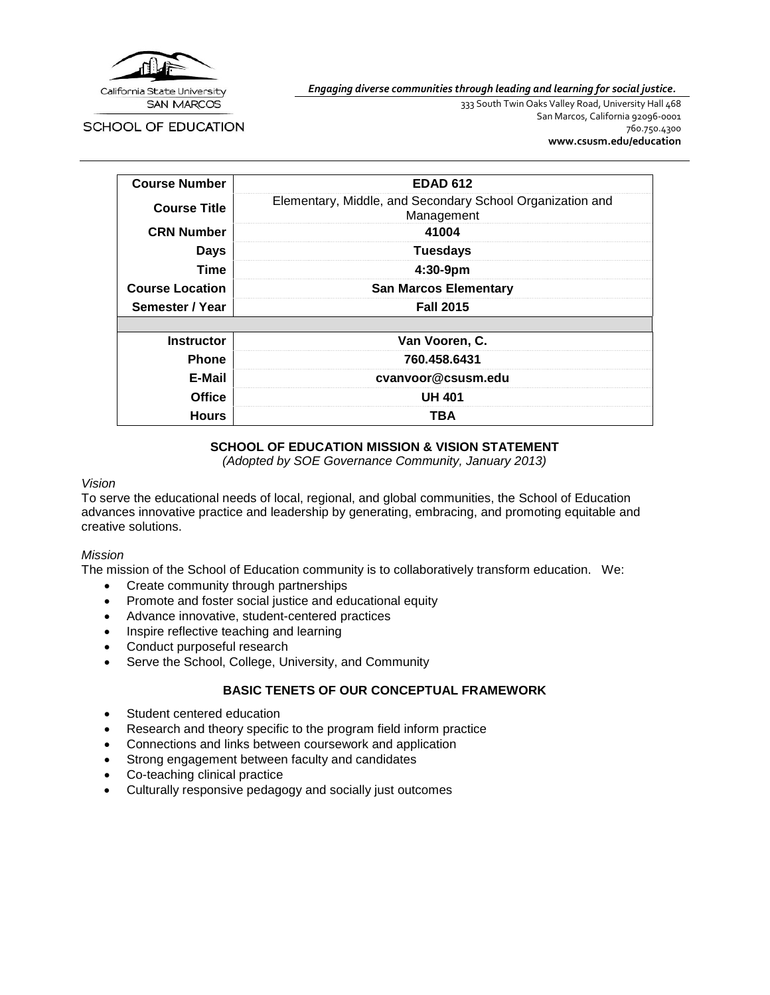

*Engaging diverse communities through leading and learning for social justice.*

SCHOOL OF EDUCATION

333 South Twin Oaks Valley Road, University Hall 468 San Marcos, California 92096-0001 760.750.4300 **[www.csusm.edu/education](http://www.csusm.edu/education)**

| <b>Course Number</b>   | <b>EDAD 612</b>                                                         |  |
|------------------------|-------------------------------------------------------------------------|--|
| <b>Course Title</b>    | Elementary, Middle, and Secondary School Organization and<br>Management |  |
| <b>CRN Number</b>      | 41004                                                                   |  |
| <b>Days</b>            | <b>Tuesdays</b>                                                         |  |
| Time                   | 4:30-9pm                                                                |  |
| <b>Course Location</b> | <b>San Marcos Elementary</b>                                            |  |
| Semester / Year        | <b>Fall 2015</b>                                                        |  |
|                        |                                                                         |  |
| <b>Instructor</b>      | Van Vooren, C.                                                          |  |
| <b>Phone</b>           | 760.458.6431                                                            |  |
| E-Mail                 | cvanvoor@csusm.edu                                                      |  |
| <b>Office</b>          | <b>UH 401</b>                                                           |  |
| <b>Hours</b><br>TBA    |                                                                         |  |

## **SCHOOL OF EDUCATION MISSION & VISION STATEMENT**

*(Adopted by SOE Governance Community, January 2013)*

#### *Vision*

To serve the educational needs of local, regional, and global communities, the School of Education advances innovative practice and leadership by generating, embracing, and promoting equitable and creative solutions.

#### *Mission*

The mission of the School of Education community is to collaboratively transform education. We:

- Create community through partnerships
- Promote and foster social justice and educational equity
- Advance innovative, student-centered practices
- Inspire reflective teaching and learning
- Conduct purposeful research
- Serve the School, College, University, and Community

# **BASIC TENETS OF OUR CONCEPTUAL FRAMEWORK**

- Student centered education
- Research and theory specific to the program field inform practice
- Connections and links between coursework and application
- Strong engagement between faculty and candidates
- Co-teaching clinical practice
- Culturally responsive pedagogy and socially just outcomes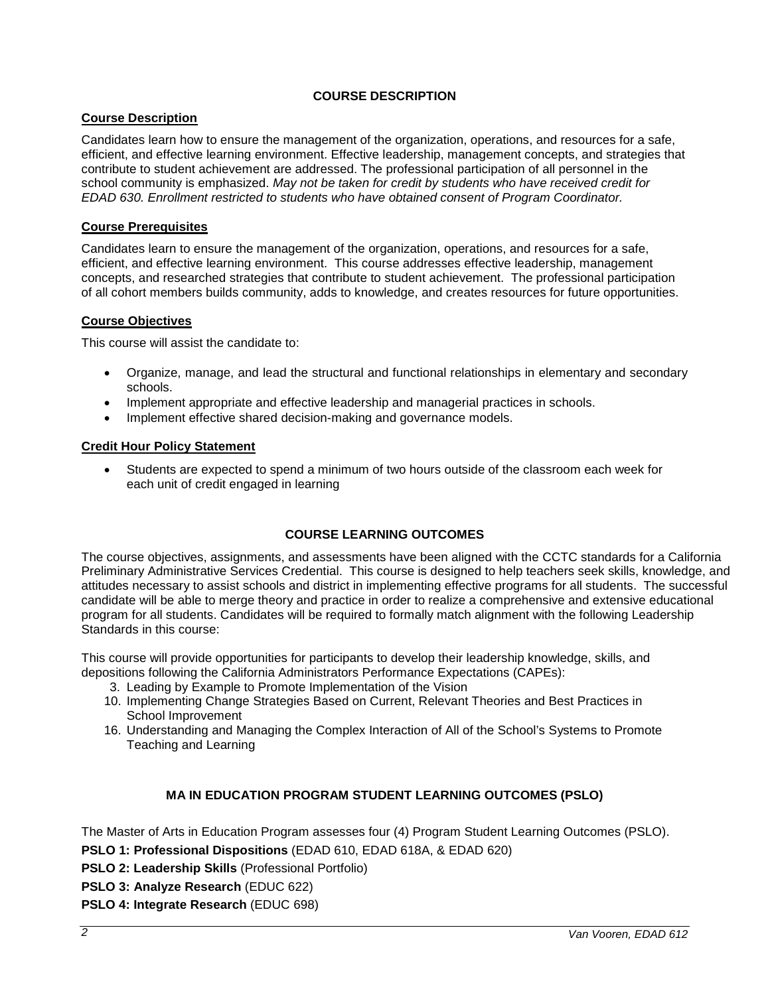# **COURSE DESCRIPTION**

## **Course Description**

Candidates learn how to ensure the management of the organization, operations, and resources for a safe, efficient, and effective learning environment. Effective leadership, management concepts, and strategies that contribute to student achievement are addressed. The professional participation of all personnel in the school community is emphasized. *May not be taken for credit by students who have received credit for EDAD 630. Enrollment restricted to students who have obtained consent of Program Coordinator.*

## **Course Prerequisites**

Candidates learn to ensure the management of the organization, operations, and resources for a safe, efficient, and effective learning environment. This course addresses effective leadership, management concepts, and researched strategies that contribute to student achievement. The professional participation of all cohort members builds community, adds to knowledge, and creates resources for future opportunities.

# **Course Objectives**

This course will assist the candidate to:

- Organize, manage, and lead the structural and functional relationships in elementary and secondary schools.
- Implement appropriate and effective leadership and managerial practices in schools.
- Implement effective shared decision-making and governance models.

## **Credit Hour Policy Statement**

• Students are expected to spend a minimum of two hours outside of the classroom each week for each unit of credit engaged in learning

## **COURSE LEARNING OUTCOMES**

The course objectives, assignments, and assessments have been aligned with the CCTC standards for a California Preliminary Administrative Services Credential. This course is designed to help teachers seek skills, knowledge, and attitudes necessary to assist schools and district in implementing effective programs for all students. The successful candidate will be able to merge theory and practice in order to realize a comprehensive and extensive educational program for all students. Candidates will be required to formally match alignment with the following Leadership Standards in this course:

This course will provide opportunities for participants to develop their leadership knowledge, skills, and depositions following the California Administrators Performance Expectations (CAPEs):

- 3. Leading by Example to Promote Implementation of the Vision
- 10. Implementing Change Strategies Based on Current, Relevant Theories and Best Practices in School Improvement
- 16. Understanding and Managing the Complex Interaction of All of the School's Systems to Promote Teaching and Learning

## **MA IN EDUCATION PROGRAM STUDENT LEARNING OUTCOMES (PSLO)**

The Master of Arts in Education Program assesses four (4) Program Student Learning Outcomes (PSLO).

**PSLO 1: Professional Dispositions** (EDAD 610, EDAD 618A, & EDAD 620)

**PSLO 2: Leadership Skills** (Professional Portfolio)

**PSLO 3: Analyze Research** (EDUC 622)

**PSLO 4: Integrate Research** (EDUC 698)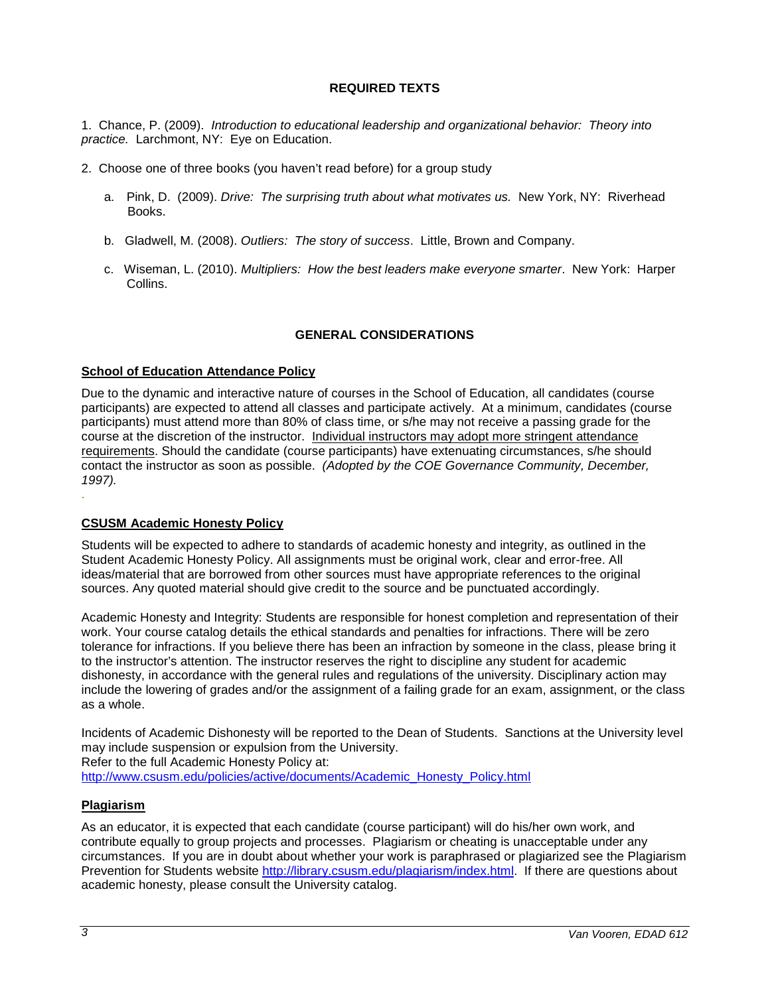## **REQUIRED TEXTS**

1. Chance, P. (2009). *Introduction to educational leadership and organizational behavior: Theory into practice.* Larchmont, NY: Eye on Education.

- 2. Choose one of three books (you haven't read before) for a group study
	- a. Pink, D. (2009). *Drive: The surprising truth about what motivates us.* New York, NY: Riverhead Books.
	- b. Gladwell, M. (2008). *Outliers: The story of success*. Little, Brown and Company.
	- c. Wiseman, L. (2010). *Multipliers: How the best leaders make everyone smarter*. New York: Harper Collins.

## **GENERAL CONSIDERATIONS**

## **School of Education Attendance Policy**

Due to the dynamic and interactive nature of courses in the School of Education, all candidates (course participants) are expected to attend all classes and participate actively. At a minimum, candidates (course participants) must attend more than 80% of class time, or s/he may not receive a passing grade for the course at the discretion of the instructor. Individual instructors may adopt more stringent attendance requirements. Should the candidate (course participants) have extenuating circumstances, s/he should contact the instructor as soon as possible. *(Adopted by the COE Governance Community, December, 1997).*

## **CSUSM Academic Honesty Policy**

Students will be expected to adhere to standards of academic honesty and integrity, as outlined in the Student Academic Honesty Policy. All assignments must be original work, clear and error-free. All ideas/material that are borrowed from other sources must have appropriate references to the original sources. Any quoted material should give credit to the source and be punctuated accordingly.

Academic Honesty and Integrity: Students are responsible for honest completion and representation of their work. Your course catalog details the ethical standards and penalties for infractions. There will be zero tolerance for infractions. If you believe there has been an infraction by someone in the class, please bring it to the instructor's attention. The instructor reserves the right to discipline any student for academic dishonesty, in accordance with the general rules and regulations of the university. Disciplinary action may include the lowering of grades and/or the assignment of a failing grade for an exam, assignment, or the class as a whole.

Incidents of Academic Dishonesty will be reported to the Dean of Students. Sanctions at the University level may include suspension or expulsion from the University.

Refer to the full Academic Honesty Policy at:

[http://www.csusm.edu/policies/active/documents/Academic\\_Honesty\\_Policy.html](http://www.csusm.edu/policies/active/documents/Academic_Honesty_Policy.html)

## **Plagiarism**

As an educator, it is expected that each candidate (course participant) will do his/her own work, and contribute equally to group projects and processes. Plagiarism or cheating is unacceptable under any circumstances. If you are in doubt about whether your work is paraphrased or plagiarized see the Plagiarism Prevention for Students website [http://library.csusm.edu/plagiarism/index.html.](http://library.csusm.edu/plagiarism/index.html) If there are questions about academic honesty, please consult the University catalog.

.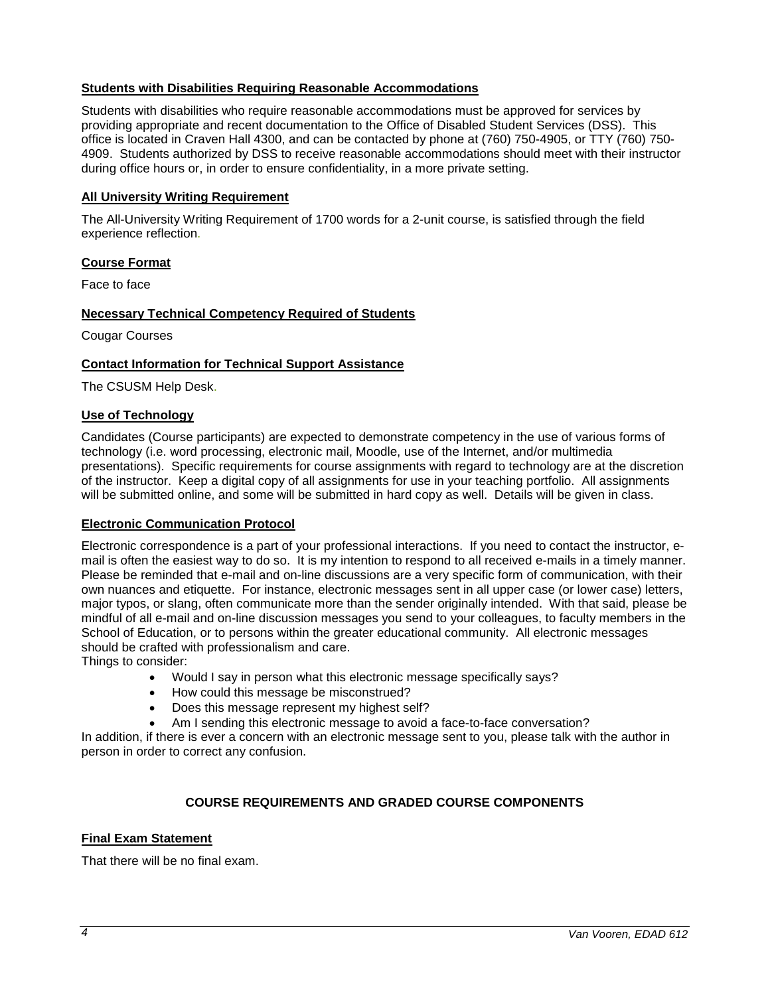## **Students with Disabilities Requiring Reasonable Accommodations**

Students with disabilities who require reasonable accommodations must be approved for services by providing appropriate and recent documentation to the Office of Disabled Student Services (DSS). This office is located in Craven Hall 4300, and can be contacted by phone at (760) 750-4905, or TTY (760) 750- 4909. Students authorized by DSS to receive reasonable accommodations should meet with their instructor during office hours or, in order to ensure confidentiality, in a more private setting.

## **All University Writing Requirement**

The All-University Writing Requirement of 1700 words for a 2-unit course, is satisfied through the field experience reflection.

## **Course Format**

Face to face

## **Necessary Technical Competency Required of Students**

Cougar Courses

## **Contact Information for Technical Support Assistance**

The CSUSM Help Desk.

## **Use of Technology**

Candidates (Course participants) are expected to demonstrate competency in the use of various forms of technology (i.e. word processing, electronic mail, Moodle, use of the Internet, and/or multimedia presentations). Specific requirements for course assignments with regard to technology are at the discretion of the instructor. Keep a digital copy of all assignments for use in your teaching portfolio. All assignments will be submitted online, and some will be submitted in hard copy as well. Details will be given in class.

#### **Electronic Communication Protocol**

Electronic correspondence is a part of your professional interactions. If you need to contact the instructor, email is often the easiest way to do so. It is my intention to respond to all received e-mails in a timely manner. Please be reminded that e-mail and on-line discussions are a very specific form of communication, with their own nuances and etiquette. For instance, electronic messages sent in all upper case (or lower case) letters, major typos, or slang, often communicate more than the sender originally intended. With that said, please be mindful of all e-mail and on-line discussion messages you send to your colleagues, to faculty members in the School of Education, or to persons within the greater educational community. All electronic messages should be crafted with professionalism and care.

Things to consider:

- Would I say in person what this electronic message specifically says?
- How could this message be misconstrued?
- Does this message represent my highest self?
- Am I sending this electronic message to avoid a face-to-face conversation?

In addition, if there is ever a concern with an electronic message sent to you, please talk with the author in person in order to correct any confusion.

## **COURSE REQUIREMENTS AND GRADED COURSE COMPONENTS**

#### **Final Exam Statement**

That there will be no final exam.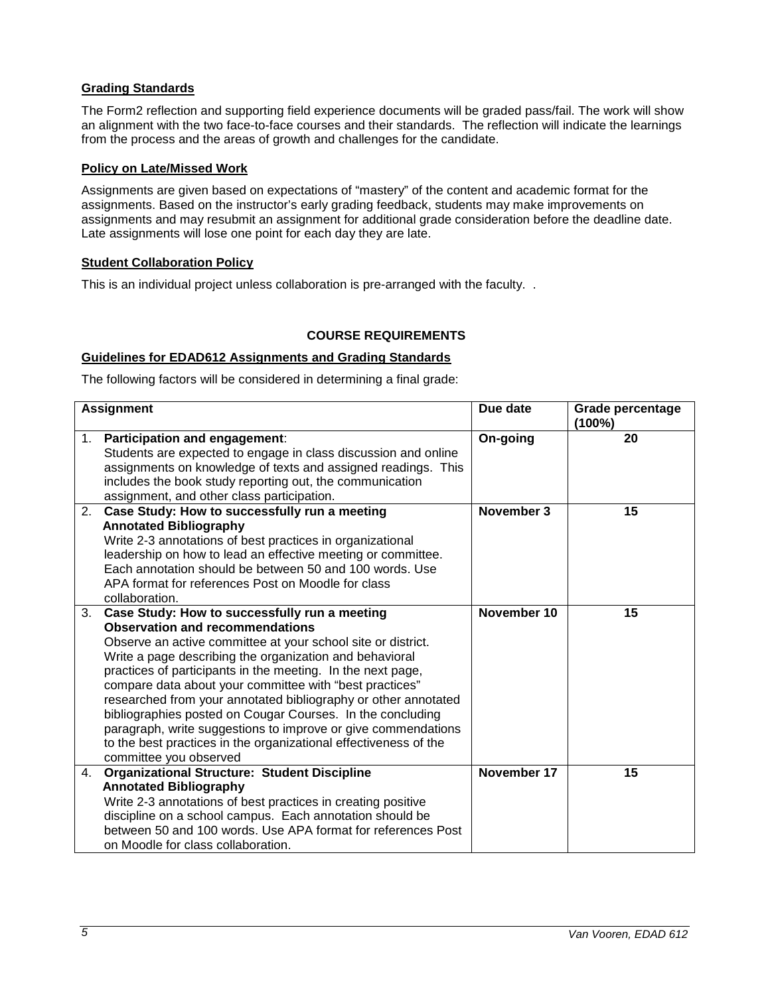## **Grading Standards**

The Form2 reflection and supporting field experience documents will be graded pass/fail. The work will show an alignment with the two face-to-face courses and their standards. The reflection will indicate the learnings from the process and the areas of growth and challenges for the candidate.

## **Policy on Late/Missed Work**

Assignments are given based on expectations of "mastery" of the content and academic format for the assignments. Based on the instructor's early grading feedback, students may make improvements on assignments and may resubmit an assignment for additional grade consideration before the deadline date. Late assignments will lose one point for each day they are late.

## **Student Collaboration Policy**

This is an individual project unless collaboration is pre-arranged with the faculty. .

## **COURSE REQUIREMENTS**

## **Guidelines for EDAD612 Assignments and Grading Standards**

The following factors will be considered in determining a final grade:

| <b>Assignment</b> |                                                                                                                                                                                                                                                                                                                                                                                                                                                                                                                                                                                                                                             | Due date    | <b>Grade percentage</b><br>$(100\%)$ |
|-------------------|---------------------------------------------------------------------------------------------------------------------------------------------------------------------------------------------------------------------------------------------------------------------------------------------------------------------------------------------------------------------------------------------------------------------------------------------------------------------------------------------------------------------------------------------------------------------------------------------------------------------------------------------|-------------|--------------------------------------|
| 1.                | Participation and engagement:<br>Students are expected to engage in class discussion and online<br>assignments on knowledge of texts and assigned readings. This<br>includes the book study reporting out, the communication<br>assignment, and other class participation.                                                                                                                                                                                                                                                                                                                                                                  | On-going    | 20                                   |
| 2.                | Case Study: How to successfully run a meeting<br><b>Annotated Bibliography</b><br>Write 2-3 annotations of best practices in organizational<br>leadership on how to lead an effective meeting or committee.<br>Each annotation should be between 50 and 100 words. Use<br>APA format for references Post on Moodle for class<br>collaboration.                                                                                                                                                                                                                                                                                              | November 3  | 15                                   |
| 3.                | Case Study: How to successfully run a meeting<br><b>Observation and recommendations</b><br>Observe an active committee at your school site or district.<br>Write a page describing the organization and behavioral<br>practices of participants in the meeting. In the next page,<br>compare data about your committee with "best practices"<br>researched from your annotated bibliography or other annotated<br>bibliographies posted on Cougar Courses. In the concluding<br>paragraph, write suggestions to improve or give commendations<br>to the best practices in the organizational effectiveness of the<br>committee you observed | November 10 | 15                                   |
| 4.                | <b>Organizational Structure: Student Discipline</b><br><b>Annotated Bibliography</b><br>Write 2-3 annotations of best practices in creating positive<br>discipline on a school campus. Each annotation should be<br>between 50 and 100 words. Use APA format for references Post<br>on Moodle for class collaboration.                                                                                                                                                                                                                                                                                                                      | November 17 | 15                                   |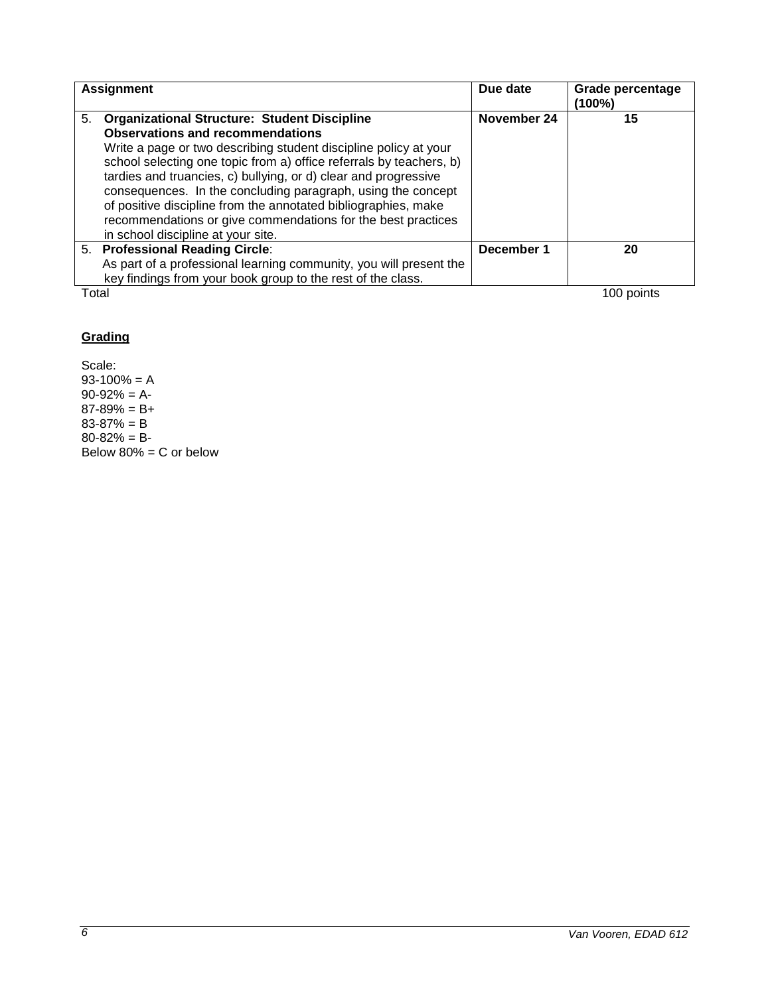| <b>Assignment</b> |                                                                     | Due date    | <b>Grade percentage</b><br>(100%) |
|-------------------|---------------------------------------------------------------------|-------------|-----------------------------------|
|                   | 5. Organizational Structure: Student Discipline                     | November 24 | 15                                |
|                   | <b>Observations and recommendations</b>                             |             |                                   |
|                   | Write a page or two describing student discipline policy at your    |             |                                   |
|                   | school selecting one topic from a) office referrals by teachers, b) |             |                                   |
|                   | tardies and truancies, c) bullying, or d) clear and progressive     |             |                                   |
|                   | consequences. In the concluding paragraph, using the concept        |             |                                   |
|                   | of positive discipline from the annotated bibliographies, make      |             |                                   |
|                   | recommendations or give commendations for the best practices        |             |                                   |
|                   | in school discipline at your site.                                  |             |                                   |
|                   | 5. Professional Reading Circle:                                     | December 1  | 20                                |
|                   | As part of a professional learning community, you will present the  |             |                                   |
|                   | key findings from your book group to the rest of the class.         |             |                                   |
| Total             |                                                                     |             | 100 points                        |

# **Grading**

Scale:  $93-100% = A$  $90-92% = A$  $87 - 89\% = B +$ 83-87% = B  $80 - 82\% = B$ Below 80% = C or below